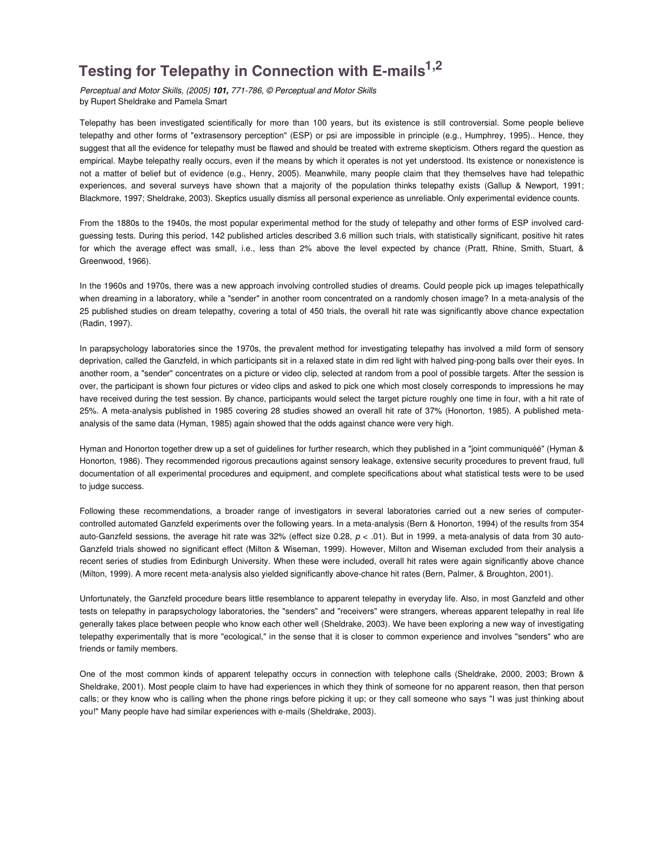# **1,2 Testing for Telepathy in Connection with E-mails**

Perceptual and Motor Skills, (2005) **101,** 771-786, © Perceptual and Motor Skills by Rupert Sheldrake and Pamela Smart

Telepathy has been investigated scientifically for more than 100 years, but its existence is still controversial. Some people believe telepathy and other forms of "extrasensory perception" (ESP) or psi are impossible in principle (e.g., Humphrey, 1995).. Hence, they suggest that all the evidence for telepathy must be flawed and should be treated with extreme skepticism. Others regard the question as empirical. Maybe telepathy really occurs, even if the means by which it operates is not yet understood. Its existence or nonexistence is not a matter of belief but of evidence (e.g., Henry, 2005). Meanwhile, many people claim that they themselves have had telepathic experiences, and several surveys have shown that a majority of the population thinks telepathy exists (Gallup & Newport, 1991; Blackmore, 1997; Sheldrake, 2003). Skeptics usually dismiss all personal experience as unreliable. Only experimental evidence counts.

From the 1880s to the 1940s, the most popular experimental method for the study of telepathy and other forms of ESP involved cardguessing tests. During this period, 142 published articles described 3.6 million such trials, with statistically significant, positive hit rates for which the average effect was small, i.e., less than 2% above the level expected by chance (Pratt, Rhine, Smith, Stuart, & Greenwood, 1966).

In the 1960s and 1970s, there was a new approach involving controlled studies of dreams. Could people pick up images telepathically when dreaming in a laboratory, while a "sender" in another room concentrated on a randomly chosen image? In a meta-analysis of the 25 published studies on dream telepathy, covering a total of 450 trials, the overall hit rate was significantly above chance expectation (Radin, 1997).

In parapsychology laboratories since the 1970s, the prevalent method for investigating telepathy has involved a mild form of sensory deprivation, called the Ganzfeld, in which participants sit in a relaxed state in dim red light with halved ping-pong balls over their eyes. In another room, a "sender" concentrates on a picture or video clip, selected at random from a pool of possible targets. After the session is over, the participant is shown four pictures or video clips and asked to pick one which most closely corresponds to impressions he may have received during the test session. By chance, participants would select the target picture roughly one time in four, with a hit rate of 25%. A meta-analysis published in 1985 covering 28 studies showed an overall hit rate of 37% (Honorton, 1985). A published metaanalysis of the same data (Hyman, 1985) again showed that the odds against chance were very high.

Hyman and Honorton together drew up a set of guidelines for further research, which they published in a "joint communiquéé" (Hyman & Honorton, 1986). They recommended rigorous precautions against sensory leakage, extensive security procedures to prevent fraud, full documentation of all experimental procedures and equipment, and complete specifications about what statistical tests were to be used to judge success.

Following these recommendations, a broader range of investigators in several laboratories carried out a new series of computercontrolled automated Ganzfeld experiments over the following years. In a meta-analysis (Bern & Honorton, 1994) of the results from 354 auto-Ganzfeld sessions, the average hit rate was 32% (effect size 0.28,  $p < .01$ ). But in 1999, a meta-analysis of data from 30 auto-Ganzfeld trials showed no significant effect (Milton & Wiseman, 1999). However, Milton and Wiseman excluded from their analysis a recent series of studies from Edinburgh University. When these were included, overall hit rates were again significantly above chance (Milton, 1999). A more recent meta-analysis also yielded significantly above-chance hit rates (Bern, Palmer, & Broughton, 2001).

Unfortunately, the Ganzfeld procedure bears little resemblance to apparent telepathy in everyday life. Also, in most Ganzfeld and other tests on telepathy in parapsychology laboratories, the "senders" and "receivers" were strangers, whereas apparent telepathy in real life generally takes place between people who know each other well (Sheldrake, 2003). We have been exploring a new way of investigating telepathy experimentally that is more "ecological," in the sense that it is closer to common experience and involves "senders" who are friends or family members.

One of the most common kinds of apparent telepathy occurs in connection with telephone calls (Sheldrake, 2000, 2003; Brown & Sheldrake, 2001). Most people claim to have had experiences in which they think of someone for no apparent reason, then that person calls; or they know who is calling when the phone rings before picking it up; or they call someone who says "I was just thinking about you!" Many people have had similar experiences with e-mails (Sheldrake, 2003).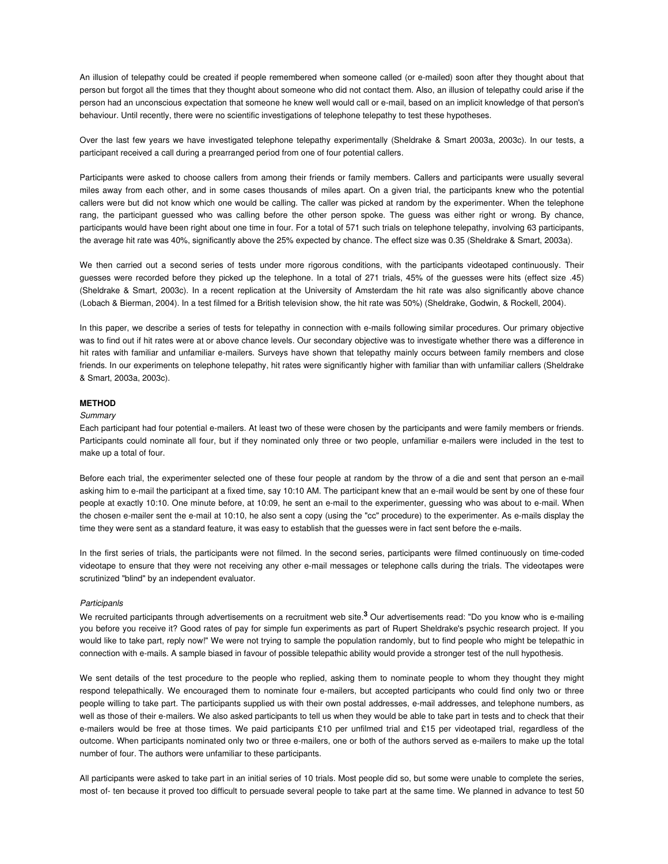An illusion of telepathy could be created if people remembered when someone called (or e-mailed) soon after they thought about that person but forgot all the times that they thought about someone who did not contact them. Also, an illusion of telepathy could arise if the person had an unconscious expectation that someone he knew well would call or e-mail, based on an implicit knowledge of that person's behaviour. Until recently, there were no scientific investigations of telephone telepathy to test these hypotheses.

Over the last few years we have investigated telephone telepathy experimentally (Sheldrake & Smart 2003a, 2003c). In our tests, a participant received a call during a prearranged period from one of four potential callers.

Participants were asked to choose callers from among their friends or family members. Callers and participants were usually several miles away from each other, and in some cases thousands of miles apart. On a given trial, the participants knew who the potential callers were but did not know which one would be calling. The caller was picked at random by the experimenter. When the telephone rang, the participant guessed who was calling before the other person spoke. The guess was either right or wrong. By chance, participants would have been right about one time in four. For a total of 571 such trials on telephone telepathy, involving 63 participants, the average hit rate was 40%, significantly above the 25% expected by chance. The effect size was 0.35 (Sheldrake & Smart, 2003a).

We then carried out a second series of tests under more rigorous conditions, with the participants videotaped continuously. Their guesses were recorded before they picked up the telephone. In a total of 271 trials, 45% of the guesses were hits (effect size .45) (Sheldrake & Smart, 2003c). In a recent replication at the University of Amsterdam the hit rate was also significantly above chance (Lobach & Bierman, 2004). In a test filmed for a British television show, the hit rate was 50%) (Sheldrake, Godwin, & Rockell, 2004).

In this paper, we describe a series of tests for telepathy in connection with e-mails following similar procedures. Our primary objective was to find out if hit rates were at or above chance levels. Our secondary objective was to investigate whether there was a difference in hit rates with familiar and unfamiliar e-mailers. Surveys have shown that telepathy mainly occurs between family rnembers and close friends. In our experiments on telephone telepathy, hit rates were significantly higher with familiar than with unfamiliar callers (Sheldrake & Smart, 2003a, 2003c).

## **METHOD**

## **Summary**

Each participant had four potential e-mailers. At least two of these were chosen by the participants and were family members or friends. Participants could nominate all four, but if they nominated only three or two people, unfamiliar e-mailers were included in the test to make up a total of four.

Before each trial, the experimenter selected one of these four people at random by the throw of a die and sent that person an e-mail asking him to e-mail the participant at a fixed time, say 10:10 AM. The participant knew that an e-mail would be sent by one of these four people at exactly 10:10. One minute before, at 10:09, he sent an e-mail to the experimenter, guessing who was about to e-mail. When the chosen e-mailer sent the e-mail at 10:10, he also sent a copy (using the "cc" procedure) to the experimenter. As e-mails display the time they were sent as a standard feature, it was easy to establish that the guesses were in fact sent before the e-mails.

In the first series of trials, the participants were not filmed. In the second series, participants were filmed continuously on time-coded videotape to ensure that they were not receiving any other e-mail messages or telephone calls during the trials. The videotapes were scrutinized "blind" by an independent evaluator.

#### **Participanls**

We recruited participants through advertisements on a recruitment web site.<sup>3</sup> Our advertisements read: "Do you know who is e-mailing you before you receive it? Good rates of pay for simple fun experiments as part of Rupert Sheldrake's psychic research project. If you would like to take part, reply now!" We were not trying to sample the population randomly, but to find people who might be telepathic in connection with e-mails. A sample biased in favour of possible telepathic ability would provide a stronger test of the null hypothesis.

We sent details of the test procedure to the people who replied, asking them to nominate people to whom they thought they might respond telepathically. We encouraged them to nominate four e-mailers, but accepted participants who could find only two or three people willing to take part. The participants supplied us with their own postal addresses, e-mail addresses, and telephone numbers, as well as those of their e-mailers. We also asked participants to tell us when they would be able to take part in tests and to check that their e-mailers would be free at those times. We paid participants £10 per unfilmed trial and £15 per videotaped trial, regardless of the outcome. When participants nominated only two or three e-mailers, one or both of the authors served as e-mailers to make up the total number of four. The authors were unfamiliar to these participants.

All participants were asked to take part in an initial series of 10 trials. Most people did so, but some were unable to complete the series, most of- ten because it proved too difficult to persuade several people to take part at the same time. We planned in advance to test 50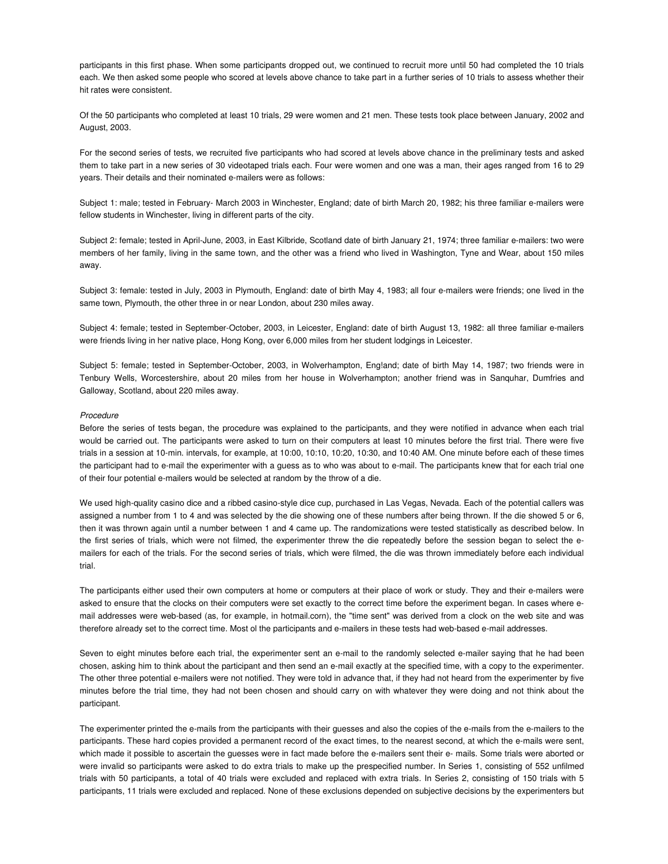participants in this first phase. When some participants dropped out, we continued to recruit more until 50 had completed the 10 trials each. We then asked some people who scored at levels above chance to take part in a further series of 10 trials to assess whether their hit rates were consistent.

Of the 50 participants who completed at least 10 trials, 29 were women and 21 men. These tests took place between January, 2002 and August, 2003.

For the second series of tests, we recruited five participants who had scored at levels above chance in the preliminary tests and asked them to take part in a new series of 30 videotaped trials each. Four were women and one was a man, their ages ranged from 16 to 29 years. Their details and their nominated e-mailers were as follows:

Subject 1: male; tested in February- March 2003 in Winchester, England; date of birth March 20, 1982; his three familiar e-mailers were fellow students in Winchester, living in different parts of the city.

Subject 2: female; tested in April-June, 2003, in East Kilbride, Scotland date of birth January 21, 1974; three familiar e-mailers: two were members of her family, living in the same town, and the other was a friend who lived in Washington, Tyne and Wear, about 150 miles away.

Subject 3: female: tested in July, 2003 in Plymouth, England: date of birth May 4, 1983; all four e-mailers were friends; one lived in the same town, Plymouth, the other three in or near London, about 230 miles away.

Subject 4: female; tested in September-October, 2003, in Leicester, England: date of birth August 13, 1982: all three familiar e-mailers were friends living in her native place, Hong Kong, over 6,000 miles from her student lodgings in Leicester.

Subject 5: female; tested in September-October, 2003, in Wolverhampton, Eng!and; date of birth May 14, 1987; two friends were in Tenbury Wells, Worcestershire, about 20 miles from her house in Wolverhampton; another friend was in Sanquhar, Dumfries and Galloway, Scotland, about 220 miles away.

## Procedure

Before the series of tests began, the procedure was explained to the participants, and they were notified in advance when each trial would be carried out. The participants were asked to turn on their computers at least 10 minutes before the first trial. There were five trials in a session at 10-min. intervals, for example, at 10:00, 10:10, 10:20, 10:30, and 10:40 AM. One minute before each of these times the participant had to e-mail the experimenter with a guess as to who was about to e-mail. The participants knew that for each trial one of their four potential e-mailers would be selected at random by the throw of a die.

We used high-quality casino dice and a ribbed casino-style dice cup, purchased in Las Vegas, Nevada. Each of the potential callers was assigned a number from 1 to 4 and was selected by the die showing one of these numbers after being thrown. If the die showed 5 or 6, then it was thrown again until a number between 1 and 4 came up. The randomizations were tested statistically as described below. In the first series of trials, which were not filmed, the experimenter threw the die repeatedly before the session began to select the emailers for each of the trials. For the second series of trials, which were filmed, the die was thrown immediately before each individual trial.

The participants either used their own computers at home or computers at their place of work or study. They and their e-mailers were asked to ensure that the clocks on their computers were set exactly to the correct time before the experiment began. In cases where email addresses were web-based (as, for example, in hotmail.corn), the "time sent" was derived from a clock on the web site and was therefore already set to the correct time. Most ol the participants and e-mailers in these tests had web-based e-mail addresses.

Seven to eight minutes before each trial, the experimenter sent an e-mail to the randomly selected e-mailer saying that he had been chosen, asking him to think about the participant and then send an e-mail exactly at the specified time, with a copy to the experimenter. The other three potential e-mailers were not notified. They were told in advance that, if they had not heard from the experimenter by five minutes before the trial time, they had not been chosen and should carry on with whatever they were doing and not think about the participant.

The experimenter printed the e-mails from the participants with their guesses and also the copies of the e-mails from the e-mailers to the participants. These hard copies provided a permanent record of the exact times, to the nearest second, at which the e-mails were sent, which made it possible to ascertain the guesses were in fact made before the e-mailers sent their e- mails. Some trials were aborted or were invalid so participants were asked to do extra trials to make up the prespecified number. In Series 1, consisting of 552 unfilmed trials with 50 participants, a total of 40 trials were excluded and replaced with extra trials. In Series 2, consisting of 150 trials with 5 participants, 11 trials were excluded and replaced. None of these exclusions depended on subjective decisions by the experimenters but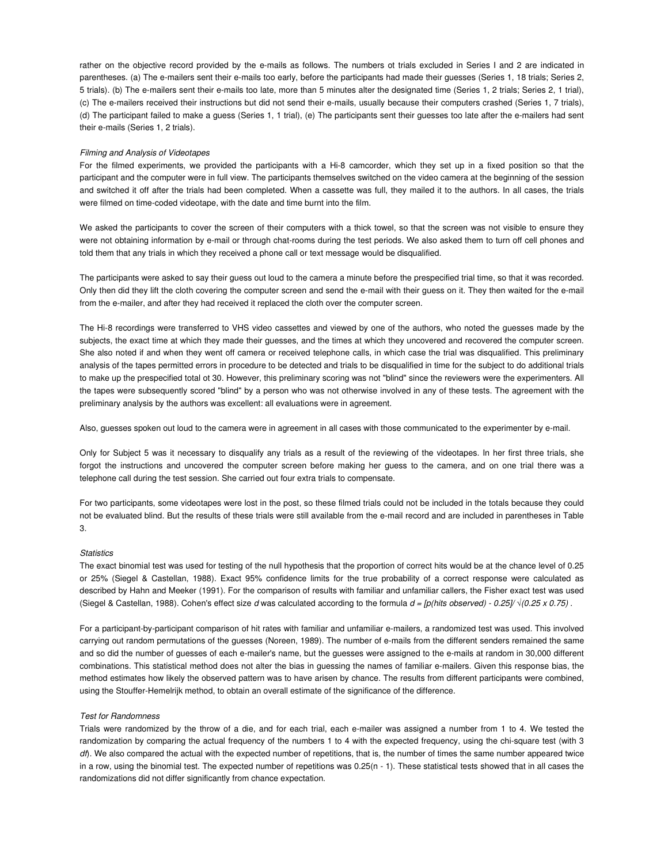rather on the objective record provided by the e-mails as follows. The numbers ot trials excluded in Series I and 2 are indicated in parentheses. (a) The e-mailers sent their e-mails too early, before the participants had made their guesses (Series 1, 18 trials; Series 2, 5 trials). (b) The e-mailers sent their e-mails too late, more than 5 minutes alter the designated time (Series 1, 2 trials; Series 2, 1 trial), (c) The e-mailers received their instructions but did not send their e-mails, usually because their computers crashed (Series 1, 7 trials), (d) The participant failed to make a guess (Series 1, 1 trial), (e) The participants sent their guesses too late after the e-mailers had sent their e-mails (Series 1, 2 trials).

## Filming and Analysis of Videotapes

For the filmed experiments, we provided the participants with a Hi-8 camcorder, which they set up in a fixed position so that the participant and the computer were in full view. The participants themselves switched on the video camera at the beginning of the session and switched it off after the trials had been completed. When a cassette was full, they mailed it to the authors. In all cases, the trials were filmed on time-coded videotape, with the date and time burnt into the film.

We asked the participants to cover the screen of their computers with a thick towel, so that the screen was not visible to ensure they were not obtaining information by e-mail or through chat-rooms during the test periods. We also asked them to turn off cell phones and told them that any trials in which they received a phone call or text message would be disqualified.

The participants were asked to say their guess out loud to the camera a minute before the prespecified trial time, so that it was recorded. Only then did they lift the cloth covering the computer screen and send the e-mail with their guess on it. They then waited for the e-mail from the e-mailer, and after they had received it replaced the cloth over the computer screen.

The Hi-8 recordings were transferred to VHS video cassettes and viewed by one of the authors, who noted the guesses made by the subjects, the exact time at which they made their guesses, and the times at which they uncovered and recovered the computer screen. She also noted if and when they went off camera or received telephone calls, in which case the trial was disqualified. This preliminary analysis of the tapes permitted errors in procedure to be detected and trials to be disqualified in time for the subject to do additional trials to make up the prespecified total ot 30. However, this preliminary scoring was not "blind" since the reviewers were the experimenters. All the tapes were subsequently scored "blind" by a person who was not otherwise involved in any of these tests. The agreement with the preliminary analysis by the authors was excellent: all evaluations were in agreement.

Also, guesses spoken out loud to the camera were in agreement in all cases with those communicated to the experimenter by e-mail.

Only for Subject 5 was it necessary to disqualify any trials as a result of the reviewing of the videotapes. In her first three trials, she forgot the instructions and uncovered the computer screen before making her guess to the camera, and on one trial there was a telephone call during the test session. She carried out four extra trials to compensate.

For two participants, some videotapes were lost in the post, so these filmed trials could not be included in the totals because they could not be evaluated blind. But the results of these trials were still available from the e-mail record and are included in parentheses in Table 3.

## **Statistics**

The exact binomial test was used for testing of the null hypothesis that the proportion of correct hits would be at the chance level of 0.25 or 25% (Siegel & Castellan, 1988). Exact 95% confidence limits for the true probability of a correct response were calculated as described by Hahn and Meeker (1991). For the comparison of results with familiar and unfamiliar callers, the Fisher exact test was used (Siegel & Castellan, 1988). Cohen's effect size d was calculated according to the formula  $d = [p/hits$  observed) - 0.25 $\sqrt{(0.25 \times 0.75)}$ .

For a participant-by-participant comparison of hit rates with familiar and unfamiliar e-mailers, a randomized test was used. This involved carrying out random permutations of the guesses (Noreen, 1989). The number of e-mails from the different senders remained the same and so did the number of guesses of each e-mailer's name, but the guesses were assigned to the e-mails at random in 30,000 different combinations. This statistical method does not alter the bias in guessing the names of familiar e-mailers. Given this response bias, the method estimates how likely the observed pattern was to have arisen by chance. The results from different participants were combined, using the Stouffer-Hemelrijk method, to obtain an overall estimate of the significance of the difference.

#### Test for Randomness

Trials were randomized by the throw of a die, and for each trial, each e-mailer was assigned a number from 1 to 4. We tested the randomization by comparing the actual frequency of the numbers 1 to 4 with the expected frequency, using the chi-square test (with 3 df). We also compared the actual with the expected number of repetitions, that is, the number of times the same number appeared twice in a row, using the binomial test. The expected number of repetitions was 0.25(n - 1). These statistical tests showed that in all cases the randomizations did not differ significantly from chance expectation.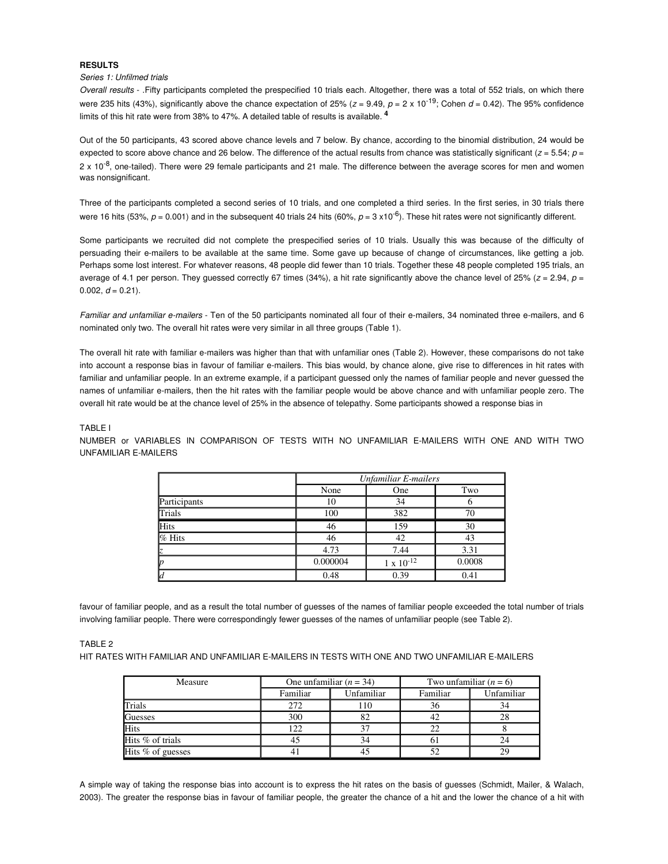# **RESULTS**

# Series 1: Unfilmed trials

Overall results - .Fifty participants completed the prespecified 10 trials each. Altogether, there was a total of 552 trials, on which there were 235 hits (43%), significantly above the chance expectation of 25% ( $z = 9.49$ ,  $p = 2 \times 10^{-19}$ ; Cohen  $d = 0.42$ ). The 95% confidence limits of this hit rate were from 38% to 47%. A detailed table of results is available. **<sup>4</sup>**

Out of the 50 participants, 43 scored above chance levels and 7 below. By chance, according to the binomial distribution, 24 would be expected to score above chance and 26 below. The difference of the actual results from chance was statistically significant ( $z = 5.54$ ;  $p =$ 2 x 10<sup>-8</sup>, one-tailed). There were 29 female participants and 21 male. The difference between the average scores for men and women was nonsignificant.

Three of the participants completed a second series of 10 trials, and one completed a third series. In the first series, in 30 trials there were 16 hits (53%,  $p = 0.001$ ) and in the subsequent 40 trials 24 hits (60%,  $p = 3 \times 10^{-6}$ ). These hit rates were not significantly different.

Some participants we recruited did not complete the prespecified series of 10 trials. Usually this was because of the difficulty of persuading their e-mailers to be available at the same time. Some gave up because of change of circumstances, like getting a job. Perhaps some lost interest. For whatever reasons, 48 people did fewer than 10 trials. Together these 48 people completed 195 trials, an average of 4.1 per person. They guessed correctly 67 times (34%), a hit rate significantly above the chance level of 25% ( $z = 2.94$ ,  $p =$ 0.002,  $d = 0.21$ ).

Familiar and unfamiliar e-mailers - Ten of the 50 participants nominated all four of their e-mailers, 34 nominated three e-mailers, and 6 nominated only two. The overall hit rates were very similar in all three groups (Table 1).

The overall hit rate with familiar e-mailers was higher than that with unfamiliar ones (Table 2). However, these comparisons do not take into account a response bias in favour of familiar e-mailers. This bias would, by chance alone, give rise to differences in hit rates with familiar and unfamiliar people. In an extreme example, if a participant guessed only the names of familiar people and never guessed the names of unfamiliar e-mailers, then the hit rates with the familiar people would be above chance and with unfamiliar people zero. The overall hit rate would be at the chance level of 25% in the absence of telepathy. Some participants showed a response bias in

# TABLE I

NUMBER or VARIABLES IN COMPARISON OF TESTS WITH NO UNFAMILIAR E-MAILERS WITH ONE AND WITH TWO UNFAMILIAR E-MAILERS

|              | <b>Unfamiliar E-mailers</b> |                     |        |  |  |  |
|--------------|-----------------------------|---------------------|--------|--|--|--|
|              | None                        | One                 | Two    |  |  |  |
| Participants | 10                          | 34                  |        |  |  |  |
| Trials       | 100                         | 382                 | 70     |  |  |  |
| <b>Hits</b>  | 46                          | 159                 | 30     |  |  |  |
| $%$ Hits     | 46                          | 42                  | 43     |  |  |  |
| k            | 4.73                        | 7.44                | 3.31   |  |  |  |
| Þ            | 0.000004                    | $1 \times 10^{-12}$ | 0.0008 |  |  |  |
| <b>l</b> d   | 0.48                        | 0.39                | 0.41   |  |  |  |

favour of familiar people, and as a result the total number of guesses of the names of familiar people exceeded the total number of trials involving familiar people. There were correspondingly fewer guesses of the names of unfamiliar people (see Table 2).

#### TABLE<sub>2</sub>

HIT RATES WITH FAMILIAR AND UNFAMILIAR E-MAILERS IN TESTS WITH ONE AND TWO UNFAMILIAR E-MAILERS

| Measure           |          | One unfamiliar $(n = 34)$ | Two unfamiliar $(n = 6)$ |            |  |
|-------------------|----------|---------------------------|--------------------------|------------|--|
|                   | Familiar | Unfamiliar                | Familiar                 | Unfamiliar |  |
| Trials            | 272      | 110                       | 36                       | 34         |  |
| Guesses           | 300      | 82                        |                          |            |  |
| Hits              | 122      |                           |                          |            |  |
| Hits % of trials  | 45       | 34                        | 0 I                      | 24         |  |
| Hits % of guesses |          |                           |                          | 29         |  |

A simple way of taking the response bias into account is to express the hit rates on the basis of guesses (Schmidt, Mailer, & Walach, 2003). The greater the response bias in favour of familiar people, the greater the chance of a hit and the lower the chance of a hit with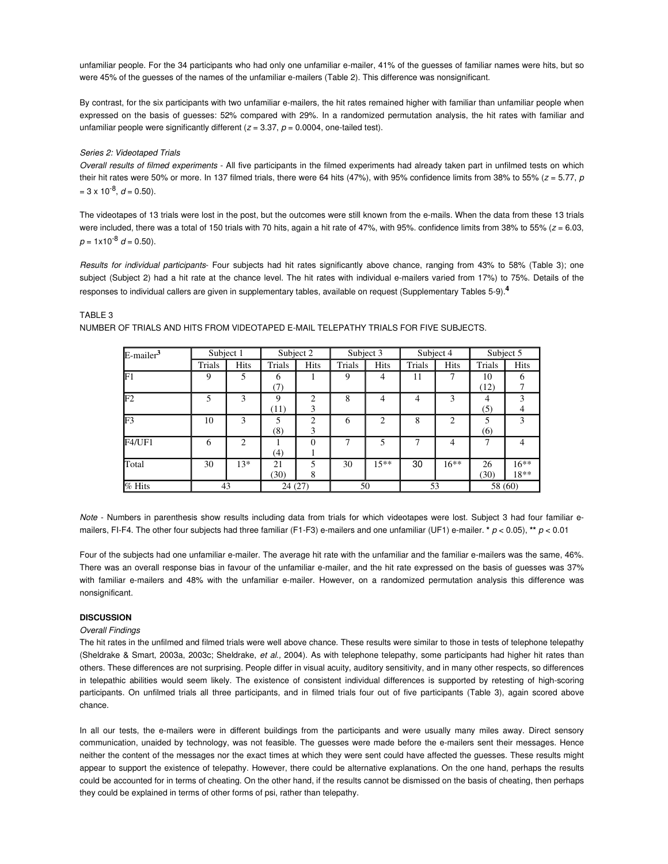unfamiliar people. For the 34 participants who had only one unfamiliar e-mailer, 41% of the guesses of familiar names were hits, but so were 45% of the guesses of the names of the unfamiliar e-mailers (Table 2). This difference was nonsignificant.

By contrast, for the six participants with two unfamiliar e-mailers, the hit rates remained higher with familiar than unfamiliar people when expressed on the basis of guesses: 52% compared with 29%. In a randomized permutation analysis, the hit rates with familiar and unfamiliar people were significantly different ( $z = 3.37$ ,  $p = 0.0004$ , one-tailed test).

## Series 2: Videotaped Trials

Overall results of filmed experiments - All five participants in the filmed experiments had already taken part in unfilmed tests on which their hit rates were 50% or more. In 137 filmed trials, there were 64 hits (47%), with 95% confidence limits from 38% to 55% ( $z = 5.77$ ,  $p$  $= 3 \times 10^{-8}$ ,  $d = 0.50$ ).

The videotapes of 13 trials were lost in the post, but the outcomes were still known from the e-mails. When the data from these 13 trials were included, there was a total of 150 trials with 70 hits, again a hit rate of 47%, with 95% confidence limits from 38% to 55%  $(z = 6.03, z = 0.05)$  $p = 1 \times 10^{-8}$  d = 0.50).

Results for individual participants- Four subjects had hit rates significantly above chance, ranging from 43% to 58% (Table 3); one subject (Subject 2) had a hit rate at the chance level. The hit rates with individual e-mailers varied from 17%) to 75%. Details of the responses to individual callers are given in supplementary tables, available on request (Supplementary Tables 5-9).**<sup>4</sup>**

## TABLE 3

NUMBER OF TRIALS AND HITS FROM VlDEOTAPED E-MAIL TELEPATHY TRIALS FOR FIVE SUBJECTS.

| E-mailer <sup>3</sup> | Subject 1 |                | Subject 2 |                | Subject 3 |                | Subject 4 |         | Subject 5 |             |
|-----------------------|-----------|----------------|-----------|----------------|-----------|----------------|-----------|---------|-----------|-------------|
|                       | Trials    | <b>Hits</b>    | Trials    | Hits           | Trials    | <b>Hits</b>    | Trials    | Hits    | Trials    | <b>Hits</b> |
| F1                    | 9         | 5              | 6         |                | 9         | 4              | 11        | 7       | 10        |             |
|                       |           |                | (7)       |                |           |                |           |         | (12)      |             |
| F2                    |           | 3              | 9         | $\mathfrak{D}$ | 8         | 4              | 4         | 3       | 4         | κ           |
|                       |           |                | (11)      | 3              |           |                |           |         | (5)       | 4           |
| F3                    | 10        | 3              | 5         | C              | 6         | $\overline{c}$ | 8         | 2       | 5         | 3           |
|                       |           |                | (8)       | 3              |           |                |           |         | (6)       |             |
| F4/UF1                | 6         | $\mathfrak{D}$ |           | 0              |           | 5              |           | 4       | 7         | 4           |
|                       |           |                | (4)       |                |           |                |           |         |           |             |
| Total                 | 30        | $13*$          | 21        | 5              | 30        | $15***$        | 30        | $16***$ | 26        | $16***$     |
|                       |           |                | (30)      | 8              |           |                |           |         | (30)      | 18**        |
| % Hits                | 43        |                | 24(27)    |                | 50        |                | 53        |         | 58 (60)   |             |

Note - Numbers in parenthesis show results including data from trials for which videotapes were lost. Subject 3 had four familiar emailers, FI-F4. The other four subjects had three familiar (F1-F3) e-mailers and one unfamiliar (UF1) e-mailer. **\***  $p < 0.05$ ), **\*\***  $p < 0.01$ 

Four of the subjects had one unfamiliar e-mailer. The average hit rate with the unfamiliar and the familiar e-mailers was the same, 46%. There was an overall response bias in favour of the unfamiliar e-mailer, and the hit rate expressed on the basis of guesses was 37% with familiar e-mailers and 48% with the unfamiliar e-mailer. However, on a randomized permutation analysis this difference was nonsignificant.

# **DISCUSSION**

# Overall Findings

The hit rates in the unfilmed and filmed trials were well above chance. These results were similar to those in tests of telephone telepathy (Sheldrake & Smart, 2003a, 2003c; Sheldrake, et al., 2004). As with telephone telepathy, some participants had higher hit rates than others. These differences are not surprising. People differ in visual acuity, auditory sensitivity, and in many other respects, so differences in telepathic abilities would seem likely. The existence of consistent individual differences is supported by retesting of high-scoring participants. On unfilmed trials all three participants, and in filmed trials four out of five participants (Table 3), again scored above chance.

In all our tests, the e-mailers were in different buildings from the participants and were usually many miles away. Direct sensory communication, unaided by technology, was not feasible. The guesses were made before the e-mailers sent their messages. Hence neither the content of the messages nor the exact times at which they were sent could have affected the guesses. These results might appear to support the existence of telepathy. However, there could be alternative explanations. On the one hand, perhaps the results could be accounted for in terms of cheating. On the other hand, if the results cannot be dismissed on the basis of cheating, then perhaps they could be explained in terms of other forms of psi, rather than telepathy.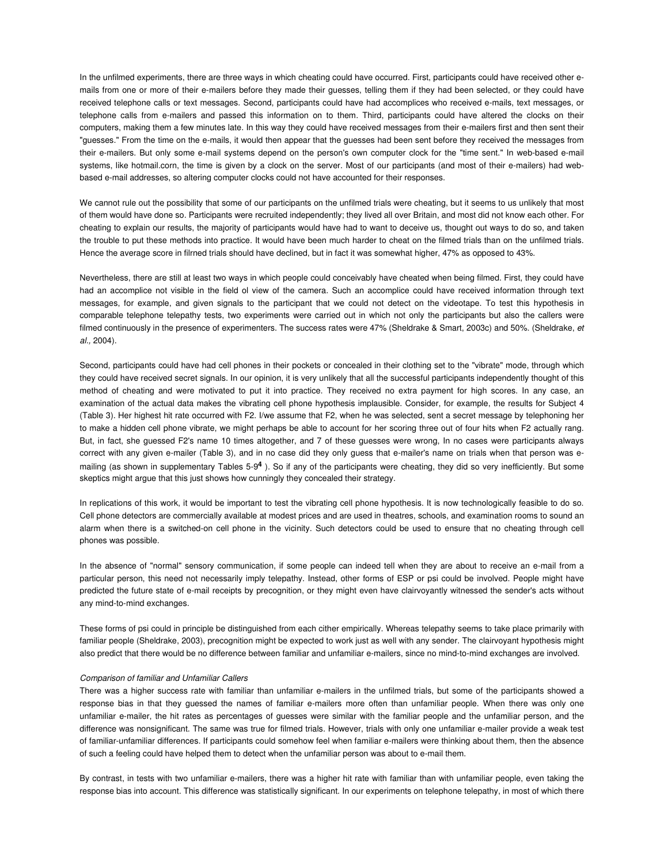In the unfilmed experiments, there are three ways in which cheating could have occurred. First, participants could have received other emails from one or more of their e-mailers before they made their guesses, telling them if they had been selected, or they could have received telephone calls or text messages. Second, participants could have had accomplices who received e-mails, text messages, or telephone calls from e-mailers and passed this information on to them. Third, participants could have altered the clocks on their computers, making them a few minutes late. In this way they could have received messages from their e-mailers first and then sent their "guesses." From the time on the e-mails, it would then appear that the guesses had been sent before they received the messages from their e-mailers. But only some e-mail systems depend on the person's own computer clock for the "time sent." In web-based e-mail systems, like hotmail.corn, the time is given by a clock on the server. Most of our participants (and most of their e-mailers) had webbased e-mail addresses, so altering computer clocks could not have accounted for their responses.

We cannot rule out the possibility that some of our participants on the unfilmed trials were cheating, but it seems to us unlikely that most of them would have done so. Participants were recruited independently; they lived all over Britain, and most did not know each other. For cheating to explain our results, the majority of participants would have had to want to deceive us, thought out ways to do so, and taken the trouble to put these methods into practice. It would have been much harder to cheat on the filmed trials than on the unfilmed trials. Hence the average score in filrned trials should have declined, but in fact it was somewhat higher, 47% as opposed to 43%.

Nevertheless, there are still at least two ways in which people could conceivably have cheated when being filmed. First, they could have had an accomplice not visible in the field ol view of the camera. Such an accomplice could have received information through text messages, for example, and given signals to the participant that we could not detect on the videotape. To test this hypothesis in comparable telephone telepathy tests, two experiments were carried out in which not only the participants but also the callers were filmed continuously in the presence of experimenters. The success rates were 47% (Sheldrake & Smart, 2003c) and 50%. (Sheldrake, et al., 2004).

Second, participants could have had cell phones in their pockets or concealed in their clothing set to the "vibrate" mode, through which they could have received secret signals. In our opinion, it is very unlikely that all the successful participants independently thought of this method of cheating and were motivated to put it into practice. They received no extra payment for high scores. In any case, an examination of the actual data makes the vibrating cell phone hypothesis implausible. Consider, for example, the results for Subject 4 (Table 3). Her highest hit rate occurred with F2. I/we assume that F2, when he was selected, sent a secret message by telephoning her to make a hidden cell phone vibrate, we might perhaps be able to account for her scoring three out of four hits when F2 actually rang. But, in fact, she guessed F2's name 10 times altogether, and 7 of these guesses were wrong, In no cases were participants always correct with any given e-mailer (Table 3), and in no case did they only guess that e-mailer's name on trials when that person was emailing (as shown in supplementary Tables 5-9**<sup>4</sup>** ). So if any of the participants were cheating, they did so very inefficiently. But some skeptics might argue that this just shows how cunningly they concealed their strategy.

In replications of this work, it would be important to test the vibrating cell phone hypothesis. It is now technologically feasible to do so. Cell phone detectors are commercially available at modest prices and are used in theatres, schools, and examination rooms to sound an alarm when there is a switched-on cell phone in the vicinity. Such detectors could be used to ensure that no cheating through cell phones was possible.

In the absence of "normal" sensory communication, if some people can indeed tell when they are about to receive an e-mail from a particular person, this need not necessarily imply telepathy. Instead, other forms of ESP or psi could be involved. People might have predicted the future state of e-mail receipts by precognition, or they might even have clairvoyantly witnessed the sender's acts without any mind-to-mind exchanges.

These forms of psi could in principle be distinguished from each cither empirically. Whereas telepathy seems to take place primarily with familiar people (Sheldrake, 2003), precognition might be expected to work just as well with any sender. The clairvoyant hypothesis might also predict that there would be no difference between familiar and unfamiliar e-mailers, since no mind-to-mind exchanges are involved.

#### Comparison of familiar and Unfamiliar Callers

There was a higher success rate with familiar than unfamiliar e-mailers in the unfilmed trials, but some of the participants showed a response bias in that they guessed the names of familiar e-mailers more often than unfamiliar people. When there was only one unfamiliar e-mailer, the hit rates as percentages of guesses were similar with the familiar people and the unfamiliar person, and the difference was nonsignificant. The same was true for filmed trials. However, trials with only one unfamiliar e-mailer provide a weak test of familiar-unfamiliar differences. If participants could somehow feel when familiar e-mailers were thinking about them, then the absence of such a feeling could have helped them to detect when the unfamiliar person was about to e-mail them.

By contrast, in tests with two unfamiliar e-mailers, there was a higher hit rate with familiar than with unfamiliar people, even taking the response bias into account. This difference was statistically significant. In our experiments on telephone telepathy, in most of which there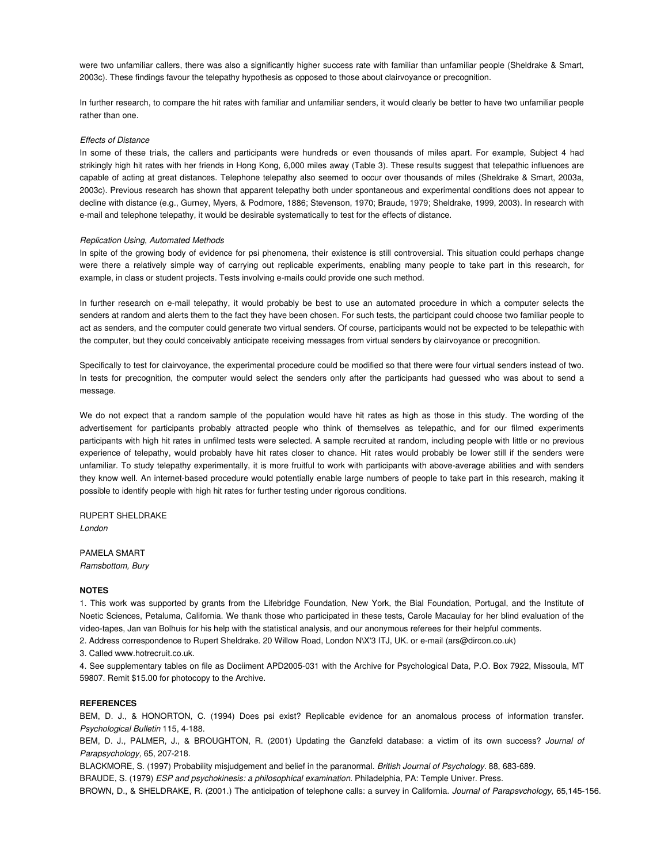were two unfamiliar callers, there was also a significantly higher success rate with familiar than unfamiliar people (Sheldrake & Smart, 2003c). These findings favour the telepathy hypothesis as opposed to those about clairvoyance or precognition.

In further research, to compare the hit rates with familiar and unfamiliar senders, it would clearly be better to have two unfamiliar people rather than one.

#### Effects of Distance

In some of these trials, the callers and participants were hundreds or even thousands of miles apart. For example, Subject 4 had strikingly high hit rates with her friends in Hong Kong, 6,000 miles away (Table 3). These results suggest that telepathic influences are capable of acting at great distances. Telephone telepathy also seemed to occur over thousands of miles (Sheldrake & Smart, 2003a, 2003c). Previous research has shown that apparent telepathy both under spontaneous and experimental conditions does not appear to decline with distance (e.g., Gurney, Myers, & Podmore, 1886; Stevenson, 1970; Braude, 1979; Sheldrake, 1999, 2003). In research with e-mail and telephone telepathy, it would be desirable systematically to test for the effects of distance.

# Replication Using, Automated Methods

In spite of the growing body of evidence for psi phenomena, their existence is still controversial. This situation could perhaps change were there a relatively simple way of carrying out replicable experiments, enabling many people to take part in this research, for example, in class or student projects. Tests involving e-mails could provide one such method.

In further research on e-mail telepathy, it would probably be best to use an automated procedure in which a computer selects the senders at random and alerts them to the fact they have been chosen. For such tests, the participant could choose two familiar people to act as senders, and the computer could generate two virtual senders. Of course, participants would not be expected to be telepathic with the computer, but they could conceivably anticipate receiving messages from virtual senders by clairvoyance or precognition.

Specifically to test for clairvoyance, the experimental procedure could be modified so that there were four virtual senders instead of two. In tests for precognition, the computer would select the senders only after the participants had guessed who was about to send a message.

We do not expect that a random sample of the population would have hit rates as high as those in this study. The wording of the advertisement for participants probably attracted people who think of themselves as telepathic, and for our filmed experiments participants with high hit rates in unfilmed tests were selected. A sample recruited at random, including people with little or no previous experience of telepathy, would probably have hit rates closer to chance. Hit rates would probably be lower still if the senders were unfamiliar. To study telepathy experimentally, it is more fruitful to work with participants with above-average abilities and with senders they know well. An internet-based procedure would potentially enable large numbers of people to take part in this research, making it possible to identify people with high hit rates for further testing under rigorous conditions.

RUPERT SHELDRAKE London

PAMELA SMART Ramsbottom, Bury

## **NOTES**

1. This work was supported by grants from the Lifebridge Foundation, New York, the Bial Foundation, Portugal, and the Institute of Noetic Sciences, Petaluma, California. We thank those who participated in these tests, Carole Macaulay for her blind evaluation of the video-tapes, Jan van Bolhuis for his help with the statistical analysis, and our anonymous referees for their helpful comments. 2. Address correspondence to Rupert Sheldrake. 20 Willow Road, London N\X'3 ITJ, UK. or e-mail (ars@dircon.co.uk)

3. Called www.hotrecruit.co.uk.

4. See supplementary tables on file as Dociiment APD2005-031 with the Archive for Psychological Data, P.O. Box 7922, Missoula, MT 59807. Remit \$15.00 for photocopy to the Archive.

# **REFERENCES**

BEM, D. J., & HONORTON, C. (1994) Does psi exist? Replicable evidence for an anomalous process of information transfer. Psychological Bulletin 115, 4-188.

BEM, D. J., PALMER, J., & BROUGHTON, R. (2001) Updating the Ganzfeld database: a victim of its own success? Journal of Parapsychology, 65, 207-218.

BLACKMORE, S. (1997) Probability misjudgement and belief in the paranormal. British Journal of Psychology. 88, 683-689.

BRAUDE, S. (1979) ESP and psychokinesis: a philosophical examination. Philadelphia, PA: Temple Univer. Press.

BROWN, D., & SHELDRAKE, R. (2001.) The anticipation of telephone calls: a survey in California. *Journal of Parapsvchology,* 65,145-156.